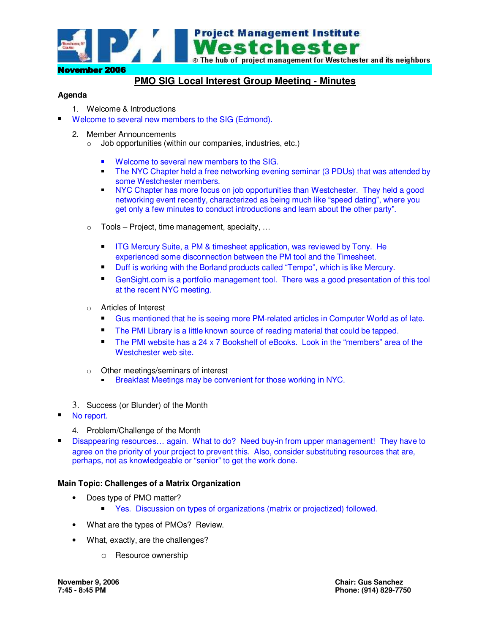

## **PMO SIG Local Interest Group Meeting - Minutes**

## **Agenda**

- 1. Welcome & Introductions
- Welcome to several new members to the SIG (Edmond).
	- 2. Member Announcements
		- o Job opportunities (within our companies, industries, etc.)
			- **Welcome to several new members to the SIG.**
			- **The NYC Chapter held a free networking evening seminar (3 PDUs) that was attended by** some Westchester members.
			- **NYC Chapter has more focus on job opportunities than Westchester. They held a good** networking event recently, characterized as being much like "speed dating", where you get only a few minutes to conduct introductions and learn about the other party".
		- o Tools Project, time management, specialty, …
			- $\blacksquare$  . ITG Mercury Suite, a PM & timesheet application, was reviewed by Tony. He experienced some disconnection between the PM tool and the Timesheet.
			- $\blacksquare$ Duff is working with the Borland products called "Tempo", which is like Mercury.
			- $\blacksquare$  GenSight.com is a portfolio management tool. There was a good presentation of this tool at the recent NYC meeting.
		- o Articles of Interest
			- $\blacksquare$ Gus mentioned that he is seeing more PM-related articles in Computer World as of late.
			- $\blacksquare$ The PMI Library is a little known source of reading material that could be tapped.
			- $\blacksquare$  The PMI website has a 24 x 7 Bookshelf of eBooks. Look in the "members" area of the Westchester web site.
		- o Other meetings/seminars of interest
			- **Breakfast Meetings may be convenient for those working in NYC.**
	- 3. Success (or Blunder) of the Month
- No report.
	- 4. Problem/Challenge of the Month
- Disappearing resources… again. What to do? Need buy-in from upper management! They have to agree on the priority of your project to prevent this. Also, consider substituting resources that are, perhaps, not as knowledgeable or "senior" to get the work done.

## **Main Topic: Challenges of a Matrix Organization**

- Does type of PMO matter?
	- Yes. Discussion on types of organizations (matrix or projectized) followed.
- What are the types of PMOs? Review.
- What, exactly, are the challenges?
	- o Resource ownership